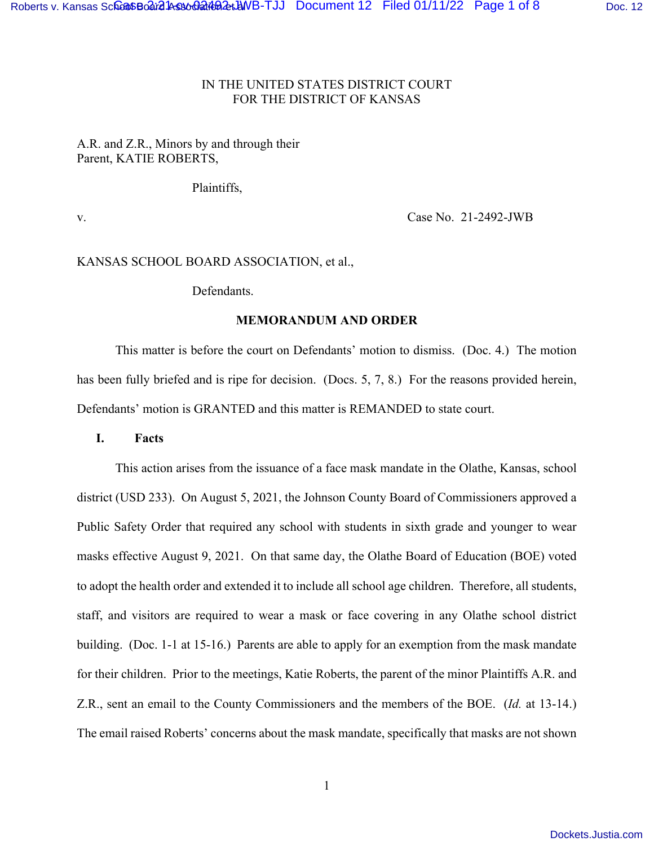## IN THE UNITED STATES DISTRICT COURT FOR THE DISTRICT OF KANSAS

# A.R. and Z.R., Minors by and through their Parent, KATIE ROBERTS,

Plaintiffs,

v. Case No. 21-2492-JWB

# KANSAS SCHOOL BOARD ASSOCIATION, et al.,

Defendants.

## **MEMORANDUM AND ORDER**

 This matter is before the court on Defendants' motion to dismiss. (Doc. 4.) The motion has been fully briefed and is ripe for decision. (Docs. 5, 7, 8.) For the reasons provided herein, Defendants' motion is GRANTED and this matter is REMANDED to state court.

## **I. Facts**

This action arises from the issuance of a face mask mandate in the Olathe, Kansas, school district (USD 233). On August 5, 2021, the Johnson County Board of Commissioners approved a Public Safety Order that required any school with students in sixth grade and younger to wear masks effective August 9, 2021. On that same day, the Olathe Board of Education (BOE) voted to adopt the health order and extended it to include all school age children. Therefore, all students, staff, and visitors are required to wear a mask or face covering in any Olathe school district building. (Doc. 1-1 at 15-16.) Parents are able to apply for an exemption from the mask mandate for their children. Prior to the meetings, Katie Roberts, the parent of the minor Plaintiffs A.R. and Z.R., sent an email to the County Commissioners and the members of the BOE. (*Id.* at 13-14.) The email raised Roberts' concerns about the mask mandate, specifically that masks are not shown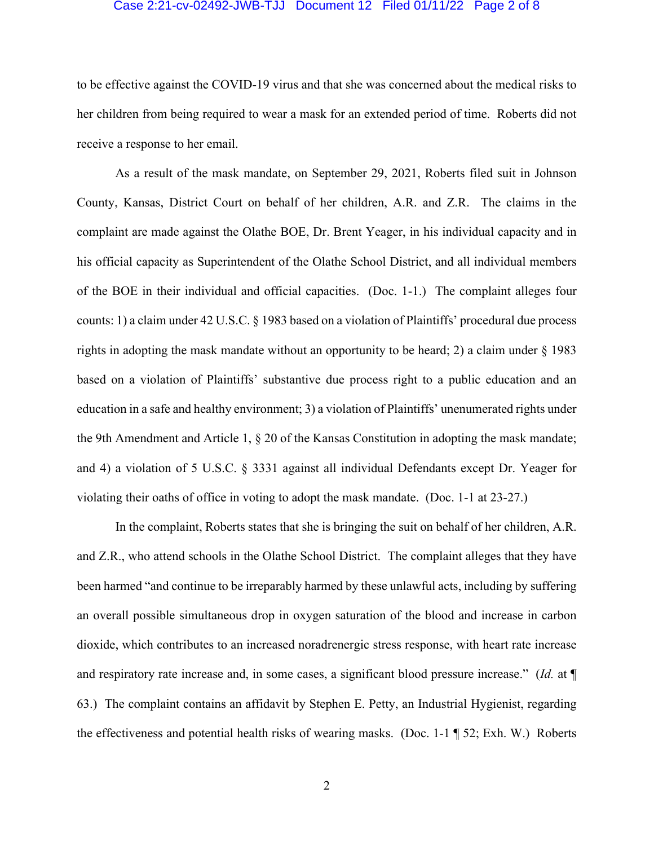#### Case 2:21-cv-02492-JWB-TJJ Document 12 Filed 01/11/22 Page 2 of 8

to be effective against the COVID-19 virus and that she was concerned about the medical risks to her children from being required to wear a mask for an extended period of time. Roberts did not receive a response to her email.

 As a result of the mask mandate, on September 29, 2021, Roberts filed suit in Johnson County, Kansas, District Court on behalf of her children, A.R. and Z.R. The claims in the complaint are made against the Olathe BOE, Dr. Brent Yeager, in his individual capacity and in his official capacity as Superintendent of the Olathe School District, and all individual members of the BOE in their individual and official capacities. (Doc. 1-1.) The complaint alleges four counts: 1) a claim under 42 U.S.C. § 1983 based on a violation of Plaintiffs' procedural due process rights in adopting the mask mandate without an opportunity to be heard; 2) a claim under § 1983 based on a violation of Plaintiffs' substantive due process right to a public education and an education in a safe and healthy environment; 3) a violation of Plaintiffs' unenumerated rights under the 9th Amendment and Article 1, § 20 of the Kansas Constitution in adopting the mask mandate; and 4) a violation of 5 U.S.C. § 3331 against all individual Defendants except Dr. Yeager for violating their oaths of office in voting to adopt the mask mandate. (Doc. 1-1 at 23-27.)

 In the complaint, Roberts states that she is bringing the suit on behalf of her children, A.R. and Z.R., who attend schools in the Olathe School District. The complaint alleges that they have been harmed "and continue to be irreparably harmed by these unlawful acts, including by suffering an overall possible simultaneous drop in oxygen saturation of the blood and increase in carbon dioxide, which contributes to an increased noradrenergic stress response, with heart rate increase and respiratory rate increase and, in some cases, a significant blood pressure increase." (*Id.* at ¶ 63.) The complaint contains an affidavit by Stephen E. Petty, an Industrial Hygienist, regarding the effectiveness and potential health risks of wearing masks. (Doc. 1-1 ¶ 52; Exh. W.) Roberts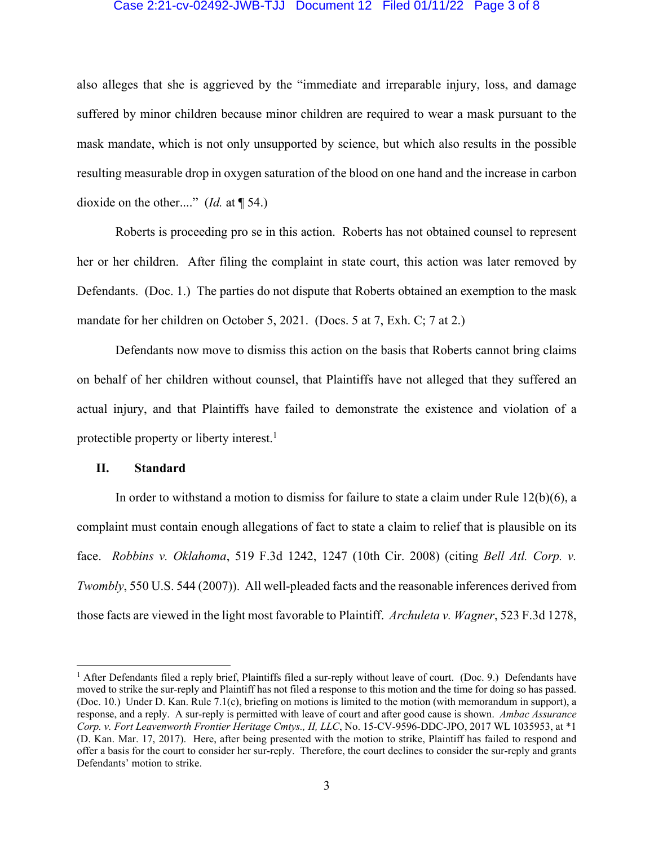### Case 2:21-cv-02492-JWB-TJJ Document 12 Filed 01/11/22 Page 3 of 8

also alleges that she is aggrieved by the "immediate and irreparable injury, loss, and damage suffered by minor children because minor children are required to wear a mask pursuant to the mask mandate, which is not only unsupported by science, but which also results in the possible resulting measurable drop in oxygen saturation of the blood on one hand and the increase in carbon dioxide on the other...." (*Id.* at ¶ 54.)

 Roberts is proceeding pro se in this action. Roberts has not obtained counsel to represent her or her children. After filing the complaint in state court, this action was later removed by Defendants. (Doc. 1.) The parties do not dispute that Roberts obtained an exemption to the mask mandate for her children on October 5, 2021. (Docs. 5 at 7, Exh. C; 7 at 2.)

 Defendants now move to dismiss this action on the basis that Roberts cannot bring claims on behalf of her children without counsel, that Plaintiffs have not alleged that they suffered an actual injury, and that Plaintiffs have failed to demonstrate the existence and violation of a protectible property or liberty interest.<sup>1</sup>

## **II. Standard**

In order to withstand a motion to dismiss for failure to state a claim under Rule  $12(b)(6)$ , a complaint must contain enough allegations of fact to state a claim to relief that is plausible on its face. *Robbins v. Oklahoma*, 519 F.3d 1242, 1247 (10th Cir. 2008) (citing *Bell Atl. Corp. v. Twombly*, 550 U.S. 544 (2007)). All well-pleaded facts and the reasonable inferences derived from those facts are viewed in the light most favorable to Plaintiff. *Archuleta v. Wagner*, 523 F.3d 1278,

<sup>&</sup>lt;sup>1</sup> After Defendants filed a reply brief, Plaintiffs filed a sur-reply without leave of court. (Doc. 9.) Defendants have moved to strike the sur-reply and Plaintiff has not filed a response to this motion and the time for doing so has passed. (Doc. 10.) Under D. Kan. Rule 7.1(c), briefing on motions is limited to the motion (with memorandum in support), a response, and a reply. A sur-reply is permitted with leave of court and after good cause is shown. *Ambac Assurance Corp. v. Fort Leavenworth Frontier Heritage Cmtys., II, LLC*, No. 15-CV-9596-DDC-JPO, 2017 WL 1035953, at \*1 (D. Kan. Mar. 17, 2017). Here, after being presented with the motion to strike, Plaintiff has failed to respond and offer a basis for the court to consider her sur-reply. Therefore, the court declines to consider the sur-reply and grants Defendants' motion to strike.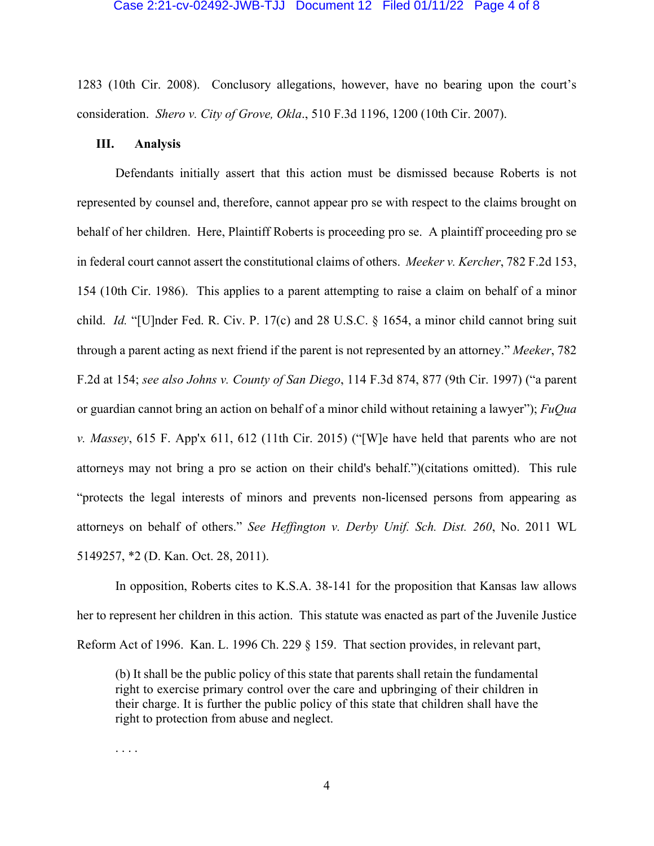#### Case 2:21-cv-02492-JWB-TJJ Document 12 Filed 01/11/22 Page 4 of 8

1283 (10th Cir. 2008). Conclusory allegations, however, have no bearing upon the court's consideration. *Shero v. City of Grove, Okla*., 510 F.3d 1196, 1200 (10th Cir. 2007).

## **III. Analysis**

 Defendants initially assert that this action must be dismissed because Roberts is not represented by counsel and, therefore, cannot appear pro se with respect to the claims brought on behalf of her children. Here, Plaintiff Roberts is proceeding pro se. A plaintiff proceeding pro se in federal court cannot assert the constitutional claims of others. *Meeker v. Kercher*, 782 F.2d 153, 154 (10th Cir. 1986). This applies to a parent attempting to raise a claim on behalf of a minor child. *Id.* "[U]nder Fed. R. Civ. P. 17(c) and 28 U.S.C. § 1654, a minor child cannot bring suit through a parent acting as next friend if the parent is not represented by an attorney." *Meeker*, 782 F.2d at 154; *see also Johns v. County of San Diego*, 114 F.3d 874, 877 (9th Cir. 1997) ("a parent or guardian cannot bring an action on behalf of a minor child without retaining a lawyer"); *FuQua v. Massey*, 615 F. App'x 611, 612 (11th Cir. 2015) ("[W]e have held that parents who are not attorneys may not bring a pro se action on their child's behalf.")(citations omitted). This rule "protects the legal interests of minors and prevents non-licensed persons from appearing as attorneys on behalf of others." *See Heffington v. Derby Unif. Sch. Dist. 260*, No. 2011 WL 5149257, \*2 (D. Kan. Oct. 28, 2011).

 In opposition, Roberts cites to K.S.A. 38-141 for the proposition that Kansas law allows her to represent her children in this action. This statute was enacted as part of the Juvenile Justice Reform Act of 1996. Kan. L. 1996 Ch. 229 § 159. That section provides, in relevant part,

(b) It shall be the public policy of this state that parents shall retain the fundamental right to exercise primary control over the care and upbringing of their children in their charge. It is further the public policy of this state that children shall have the right to protection from abuse and neglect.

. . . .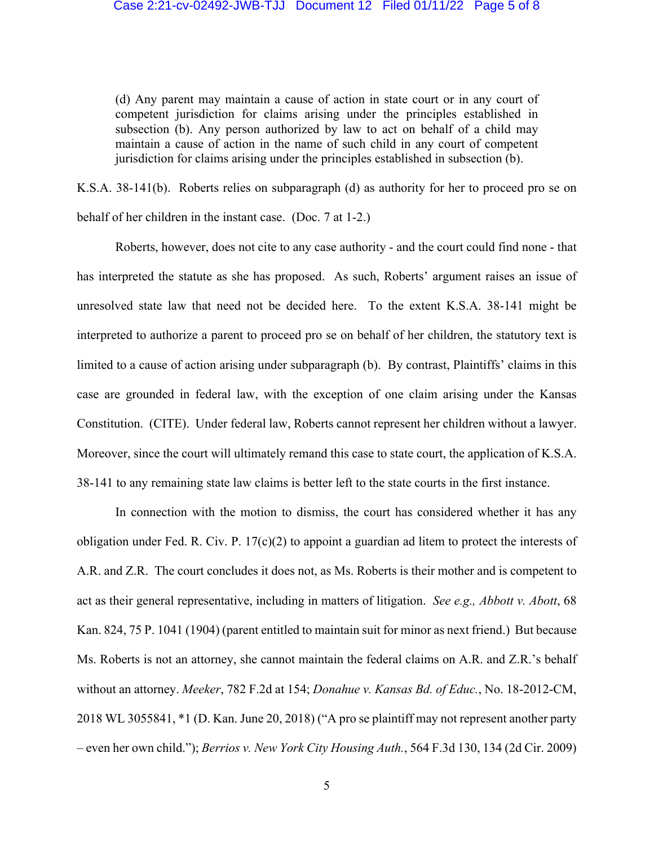(d) Any parent may maintain a cause of action in state court or in any court of competent jurisdiction for claims arising under the principles established in subsection (b). Any person authorized by law to act on behalf of a child may maintain a cause of action in the name of such child in any court of competent jurisdiction for claims arising under the principles established in subsection (b).

K.S.A. 38-141(b). Roberts relies on subparagraph (d) as authority for her to proceed pro se on behalf of her children in the instant case. (Doc. 7 at 1-2.)

 Roberts, however, does not cite to any case authority - and the court could find none - that has interpreted the statute as she has proposed. As such, Roberts' argument raises an issue of unresolved state law that need not be decided here. To the extent K.S.A. 38-141 might be interpreted to authorize a parent to proceed pro se on behalf of her children, the statutory text is limited to a cause of action arising under subparagraph (b). By contrast, Plaintiffs' claims in this case are grounded in federal law, with the exception of one claim arising under the Kansas Constitution. (CITE). Under federal law, Roberts cannot represent her children without a lawyer. Moreover, since the court will ultimately remand this case to state court, the application of K.S.A. 38-141 to any remaining state law claims is better left to the state courts in the first instance.

In connection with the motion to dismiss, the court has considered whether it has any obligation under Fed. R. Civ. P. 17(c)(2) to appoint a guardian ad litem to protect the interests of A.R. and Z.R. The court concludes it does not, as Ms. Roberts is their mother and is competent to act as their general representative, including in matters of litigation. *See e.g., Abbott v. Abott*, 68 Kan. 824, 75 P. 1041 (1904) (parent entitled to maintain suit for minor as next friend.) But because Ms. Roberts is not an attorney, she cannot maintain the federal claims on A.R. and Z.R.'s behalf without an attorney. *Meeker*, 782 F.2d at 154; *Donahue v. Kansas Bd. of Educ.*, No. 18-2012-CM, 2018 WL 3055841, \*1 (D. Kan. June 20, 2018) ("A pro se plaintiff may not represent another party – even her own child."); *Berrios v. New York City Housing Auth.*, 564 F.3d 130, 134 (2d Cir. 2009)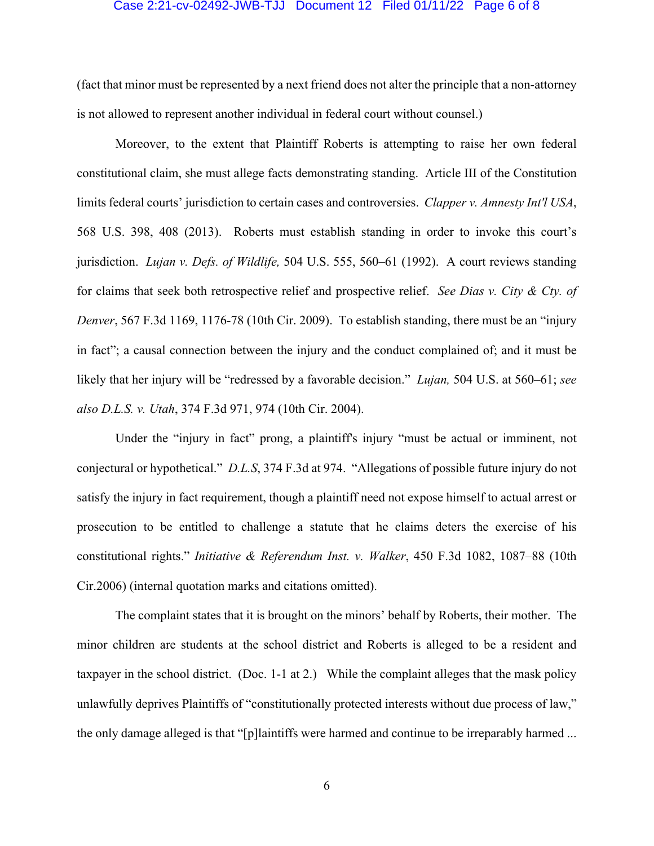#### Case 2:21-cv-02492-JWB-TJJ Document 12 Filed 01/11/22 Page 6 of 8

(fact that minor must be represented by a next friend does not alter the principle that a non-attorney is not allowed to represent another individual in federal court without counsel.)

 Moreover, to the extent that Plaintiff Roberts is attempting to raise her own federal constitutional claim, she must allege facts demonstrating standing. Article III of the Constitution limits federal courts' jurisdiction to certain cases and controversies. *Clapper v. Amnesty Int'l USA*, 568 U.S. 398, 408 (2013). Roberts must establish standing in order to invoke this court's jurisdiction. *Lujan v. Defs. of Wildlife,* 504 U.S. 555, 560–61 (1992). A court reviews standing for claims that seek both retrospective relief and prospective relief. *See Dias v. City & Cty. of Denver*, 567 F.3d 1169, 1176-78 (10th Cir. 2009). To establish standing, there must be an "injury in fact"; a causal connection between the injury and the conduct complained of; and it must be likely that her injury will be "redressed by a favorable decision." *Lujan,* 504 U.S. at 560–61; *see also D.L.S. v. Utah*, 374 F.3d 971, 974 (10th Cir. 2004).

Under the "injury in fact" prong, a plaintiff's injury "must be actual or imminent, not conjectural or hypothetical." *D.L.S*, 374 F.3d at 974. "Allegations of possible future injury do not satisfy the injury in fact requirement, though a plaintiff need not expose himself to actual arrest or prosecution to be entitled to challenge a statute that he claims deters the exercise of his constitutional rights." *Initiative & Referendum Inst. v. Walker*, 450 F.3d 1082, 1087–88 (10th Cir.2006) (internal quotation marks and citations omitted).

 The complaint states that it is brought on the minors' behalf by Roberts, their mother. The minor children are students at the school district and Roberts is alleged to be a resident and taxpayer in the school district. (Doc. 1-1 at 2.) While the complaint alleges that the mask policy unlawfully deprives Plaintiffs of "constitutionally protected interests without due process of law," the only damage alleged is that "[p]laintiffs were harmed and continue to be irreparably harmed ...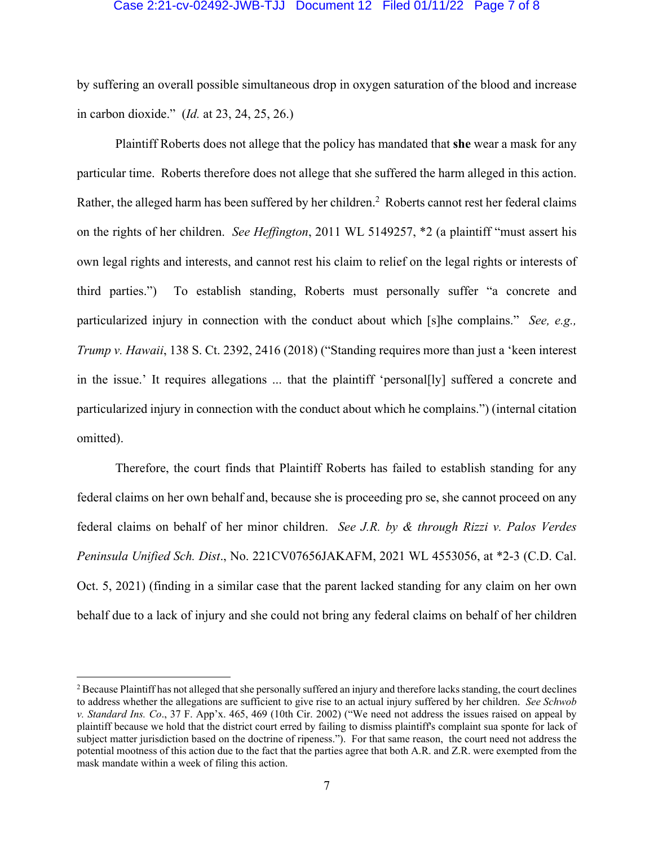### Case 2:21-cv-02492-JWB-TJJ Document 12 Filed 01/11/22 Page 7 of 8

by suffering an overall possible simultaneous drop in oxygen saturation of the blood and increase in carbon dioxide." (*Id.* at 23, 24, 25, 26.)

 Plaintiff Roberts does not allege that the policy has mandated that **she** wear a mask for any particular time. Roberts therefore does not allege that she suffered the harm alleged in this action. Rather, the alleged harm has been suffered by her children.<sup>2</sup> Roberts cannot rest her federal claims on the rights of her children. *See Heffington*, 2011 WL 5149257, \*2 (a plaintiff "must assert his own legal rights and interests, and cannot rest his claim to relief on the legal rights or interests of third parties.") To establish standing, Roberts must personally suffer "a concrete and particularized injury in connection with the conduct about which [s]he complains." *See, e.g., Trump v. Hawaii*, 138 S. Ct. 2392, 2416 (2018) ("Standing requires more than just a 'keen interest in the issue.' It requires allegations ... that the plaintiff 'personal[ly] suffered a concrete and particularized injury in connection with the conduct about which he complains.") (internal citation omitted).

 Therefore, the court finds that Plaintiff Roberts has failed to establish standing for any federal claims on her own behalf and, because she is proceeding pro se, she cannot proceed on any federal claims on behalf of her minor children. *See J.R. by & through Rizzi v. Palos Verdes Peninsula Unified Sch. Dist*., No. 221CV07656JAKAFM, 2021 WL 4553056, at \*2-3 (C.D. Cal. Oct. 5, 2021) (finding in a similar case that the parent lacked standing for any claim on her own behalf due to a lack of injury and she could not bring any federal claims on behalf of her children

 $2$  Because Plaintiff has not alleged that she personally suffered an injury and therefore lacks standing, the court declines to address whether the allegations are sufficient to give rise to an actual injury suffered by her children. *See Schwob v. Standard Ins. Co*., 37 F. App'x. 465, 469 (10th Cir. 2002) ("We need not address the issues raised on appeal by plaintiff because we hold that the district court erred by failing to dismiss plaintiff's complaint sua sponte for lack of subject matter jurisdiction based on the doctrine of ripeness."). For that same reason, the court need not address the potential mootness of this action due to the fact that the parties agree that both A.R. and Z.R. were exempted from the mask mandate within a week of filing this action.